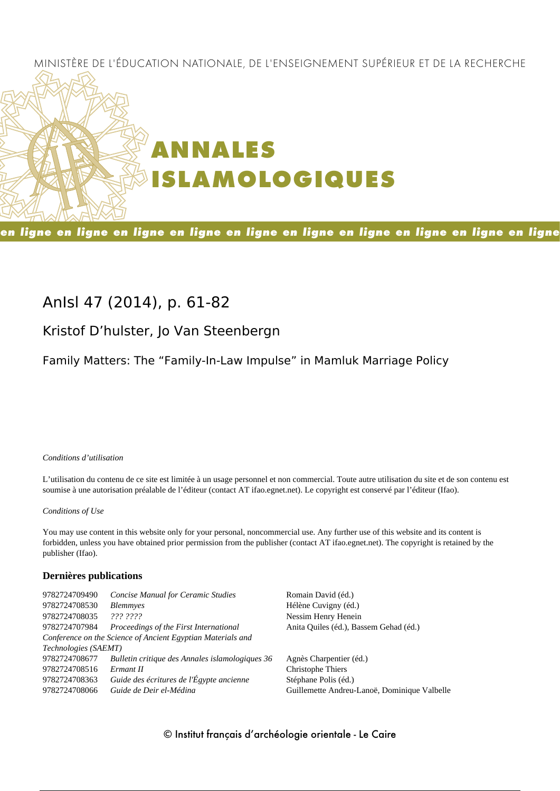## MINISTÈRE DE L'ÉDUCATION NATIONALE, DE L'ENSEIGNEMENT SUPÉRIEUR ET DE LA RECHERCHE



en ligne en ligne en ligne en ligne en ligne en ligne en ligne en ligne en ligne en ligne

# **AnIsl 47 (2014), p. 61-82**

# **Kristof D'hulster, Jo Van Steenbergn**

Family Matters: The "Family-In-Law Impulse" in Mamluk Marriage Policy

#### *Conditions d'utilisation*

L'utilisation du contenu de ce site est limitée à un usage personnel et non commercial. Toute autre utilisation du site et de son contenu est soumise à une autorisation préalable de l'éditeur (contact AT ifao.egnet.net). Le copyright est conservé par l'éditeur (Ifao).

#### *Conditions of Use*

You may use content in this website only for your personal, noncommercial use. Any further use of this website and its content is forbidden, unless you have obtained prior permission from the publisher (contact AT ifao.egnet.net). The copyright is retained by the publisher (Ifao).

#### **Dernières publications**

| 9782724709490        | <b>Concise Manual for Ceramic Studies</b>                   | Romain David (éd.)                           |
|----------------------|-------------------------------------------------------------|----------------------------------------------|
| 9782724708530        | <b>Blemmyes</b>                                             | Hélène Cuvigny (éd.)                         |
| 9782724708035        | 222.2222                                                    | Nessim Henry Henein                          |
| 9782724707984        | Proceedings of the First International                      | Anita Quiles (éd.), Bassem Gehad (éd.)       |
|                      | Conference on the Science of Ancient Egyptian Materials and |                                              |
| Technologies (SAEMT) |                                                             |                                              |
| 9782724708677        | Bulletin critique des Annales islamologiques 36             | Agnès Charpentier (éd.)                      |
| 9782724708516        | Ermant II                                                   | Christophe Thiers                            |
| 9782724708363        | Guide des écritures de l'Égypte ancienne                    | Stéphane Polis (éd.)                         |
| 9782724708066        | Guide de Deir el-Médina                                     | Guillemette Andreu-Lanoë, Dominique Valbelle |
|                      |                                                             |                                              |

### © Institut français d'archéologie orientale - Le Caire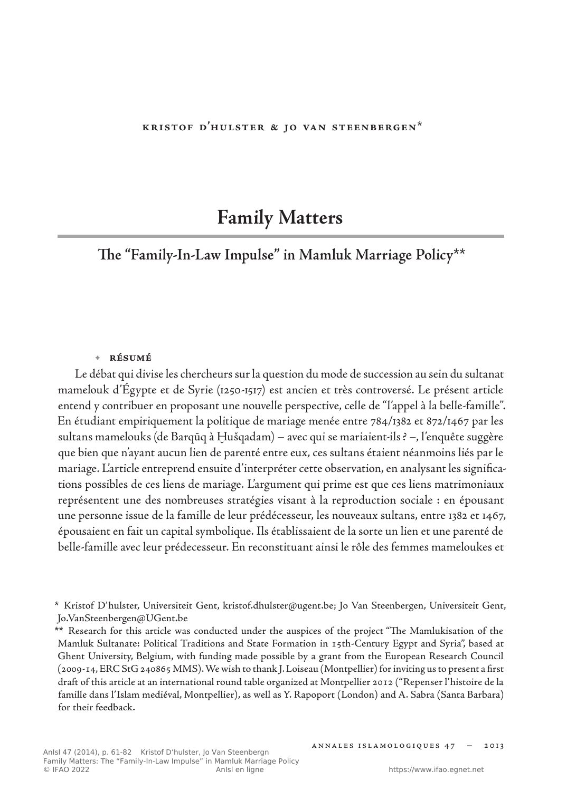# **Family Matters**

# **The "Family-In-Law Impulse" in Mamluk Marriage Policy\*\***

#### **•  résumé**

Le débat qui divise les chercheurs sur la question du mode de succession au sein du sultanat mamelouk d'Égypte et de Syrie (1250-1517) est ancien et très controversé. Le présent article entend y contribuer en proposant une nouvelle perspective, celle de "l'appel à la belle-famille". En étudiant empiriquement la politique de mariage menée entre 784/1382 et 872/1467 par les sultans mamelouks (de Barqūq à Ḫušqadam) – avec qui se mariaient-ils? –, l'enquête suggère que bien que n'ayant aucun lien de parenté entre eux, ces sultans étaient néanmoins liés par le mariage. L'article entreprend ensuite d'interpréter cette observation, en analysant les significations possibles de ces liens de mariage. L'argument qui prime est que ces liens matrimoniaux représentent une des nombreuses stratégies visant à la reproduction sociale : en épousant une personne issue de la famille de leur prédécesseur, les nouveaux sultans, entre 1382 et 1467, épousaient en fait un capital symbolique. Ils établissaient de la sorte un lien et une parenté de belle-famille avec leur prédecesseur. En reconstituant ainsi le rôle des femmes mameloukes et

**<sup>\*</sup>** Kristof D'hulster, Universiteit Gent, kristof.dhulster@ugent.be; Jo Van Steenbergen, Universiteit Gent, Jo.VanSteenbergen@UGent.be

**<sup>\*\*</sup>** Research for this article was conducted under the auspices of the project "The Mamlukisation of the Mamluk Sultanate: Political Traditions and State Formation in 15th-Century Egypt and Syria", based at Ghent University, Belgium, with funding made possible by a grant from the European Research Council (2009-14,ERCStG 240865 MMS).We wish to thank J.Loiseau (Montpellier)forinviting usto present a first draft of this article at an international round table organized at Montpellier 2012 ("Repenser l'histoire de la famille dans l'Islam mediéval, Montpellier), as well as Y. Rapoport (London) and A. Sabra (Santa Barbara) for their feedback.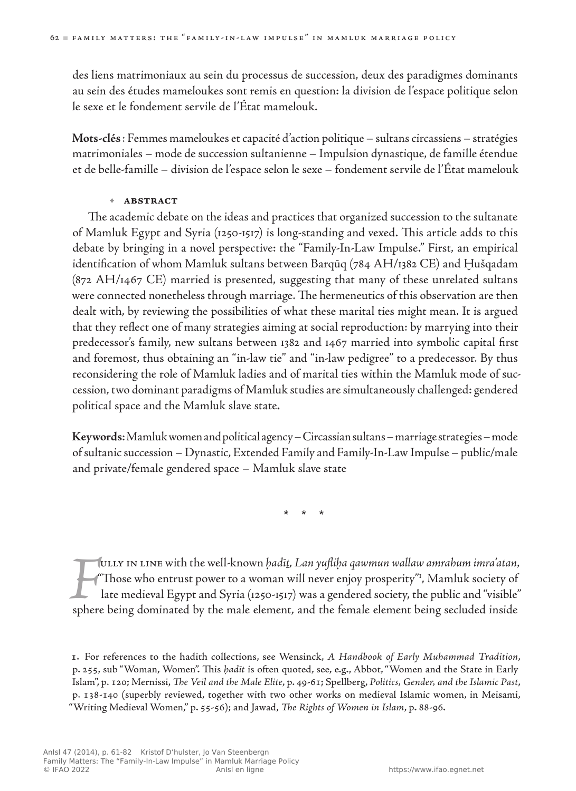des liens matrimoniaux au sein du processus de succession, deux des paradigmes dominants au sein des études mameloukes sont remis en question: la division de l'espace politique selon le sexe et le fondement servile de l'État mamelouk.

**Mots-clés**: Femmes mameloukes et capacité d'action politique – sultans circassiens – stratégies matrimoniales – mode de succession sultanienne – Impulsion dynastique, de famille étendue et de belle-famille – division de l'espace selon le sexe – fondement servile de l'État mamelouk

#### **•  abstract**

The academic debate on the ideas and practices that organized succession to the sultanate of Mamluk Egypt and Syria (1250-1517) is long-standing and vexed. This article adds to this debate by bringing in a novel perspective: the "Family-In-Law Impulse." First, an empirical identification of whom Mamluk sultans between Barqūq (784 AH/1382 CE) and Ḫušqadam (872 AH/1467 CE) married is presented, suggesting that many of these unrelated sultans were connected nonetheless through marriage. The hermeneutics of this observation are then dealt with, by reviewing the possibilities of what these marital ties might mean. It is argued that they reflect one of many strategies aiming at social reproduction: by marrying into their predecessor's family, new sultans between 1382 and 1467 married into symbolic capital first and foremost, thus obtaining an "in-law tie" and "in-law pedigree" to a predecessor. By thus reconsidering the role of Mamluk ladies and of marital ties within the Mamluk mode of succession, two dominant paradigms of Mamluk studies are simultaneously challenged: gendered political space and the Mamluk slave state.

**Keywords**: Mamluk women and political agency – Circassian sultans – marriage strategies – mode of sultanic succession – Dynastic, Extended Family and Family-In-Law Impulse – public/male and private/female gendered space – Mamluk slave state

**\* \* \***

FULLY IN LINE with the well-known *hadit, Lan yuftiha qawmun wallaw amrabum imra atan*,<br>
"Those who entrust power to a woman will never enjoy prosperity"<sup>,</sup> Mamluk society of<br>
late medieval Egypt and Syria (1250-1517) was ully in line with the well-known *ḥadīt*, *Lan yufliḥa qawmun wallaw amrahum imra'atan*, "Those who entrust power to a woman will never enjoy prosperity"1 , Mamluk society of late medieval Egypt and Syria (1250-1517) was a gendered society, the public and "visible"

**1.** For references to the hadith collections, see Wensinck, *A Handbook of Early Muhammad Tradition*, p. 255, sub "Woman, Women". This *ḥadīt* is often quoted, see, e.g., Abbot,"Women and the State in Early Islam", p. 120; Mernissi,*The Veil and the Male Elite*, p. 49-61; Spellberg, *Politics, Gender, and the Islamic Past*, p. 138-140 (superbly reviewed, together with two other works on medieval Islamic women, in Meisami, "Writing Medieval Women," p. 55-56); and Jawad, *The Rights of Women in Islam*, p. 88-96.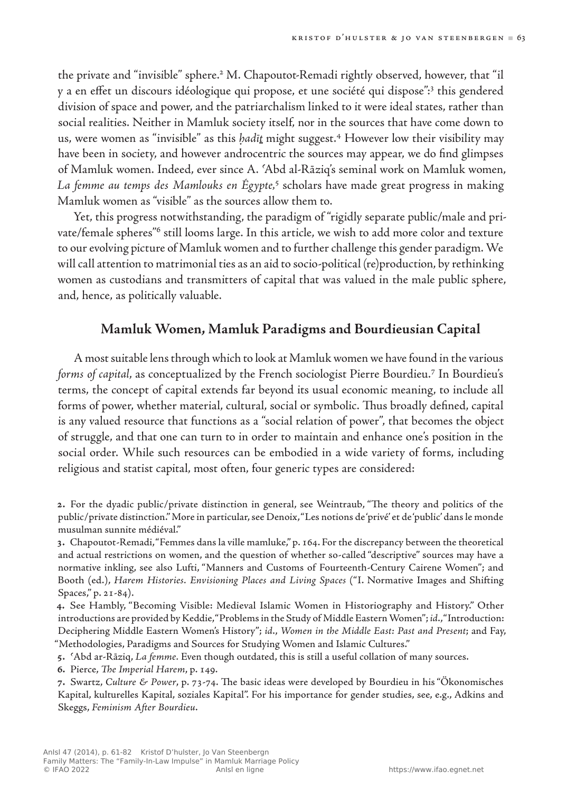the private and "invisible" sphere.2 M. Chapoutot-Remadi rightly observed, however, that "il y a en effet un discours idéologique qui propose, et une société qui dispose":<sup>3</sup> this gendered division of space and power, and the patriarchalism linked to it were ideal states, rather than social realities. Neither in Mamluk society itself, nor in the sources that have come down to us, were women as "invisible" as this *ḥadīt* might suggest.4 However low their visibility may have been in society, and however androcentric the sources may appear, we do find glimpses of Mamluk women. Indeed, ever since A. ʿAbd al-Rāziq's seminal work on Mamluk women, *La femme au temps des Mamlouks en Égypte,*<sup>5</sup> scholars have made great progress in making Mamluk women as "visible" as the sources allow them to.

Yet, this progress notwithstanding, the paradigm of "rigidly separate public/male and private/female spheres"6 still looms large. In this article, we wish to add more color and texture to our evolving picture of Mamluk women and to further challenge this gender paradigm. We will call attention to matrimonial ties as an aid to socio-political (re)production, by rethinking women as custodians and transmitters of capital that was valued in the male public sphere, and, hence, as politically valuable.

## **Mamluk Women, Mamluk Paradigms and Bourdieusian Capital**

A most suitable lens through which to look at Mamluk women we have found in the various *forms of capital*, as conceptualized by the French sociologist Pierre Bourdieu.<sup>7</sup> In Bourdieu's terms, the concept of capital extends far beyond its usual economic meaning, to include all forms of power, whether material, cultural, social or symbolic. Thus broadly defined, capital is any valued resource that functions as a "social relation of power", that becomes the object of struggle, and that one can turn to in order to maintain and enhance one's position in the social order. While such resources can be embodied in a wide variety of forms, including religious and statist capital, most often, four generic types are considered:

**2.** For the dyadic public/private distinction in general, see Weintraub, "The theory and politics of the public/private distinction." More in particular, see Denoix, "Les notions de 'privé' et de 'public' dans le monde musulman sunnite médiéval."

**3.** Chapoutot-Remadi,"Femmes dansla ville mamluke," p. 164. For the discrepancy between the theoretical and actual restrictions on women, and the question of whether so-called "descriptive" sources may have a normative inkling, see also Lufti, "Manners and Customs of Fourteenth-Century Cairene Women"; and Booth (ed.), *Harem Histories. Envisioning Places and Living Spaces* ("I. Normative Images and Shifting Spaces," p. 21-84).

**4.** See Hambly, "Becoming Visible: Medieval Islamic Women in Historiography and History." Other introductions are provided by Keddie,"Problemsin the Study of Middle EasternWomen"; *id*.,"Introduction: Deciphering Middle Eastern Women's History"; *id*., *Women in the Middle East: Past and Present*; and Fay, "Methodologies, Paradigms and Sources for Studying Women and Islamic Cultures."

**5.** ʿAbd ar-Rāziq, *La femme.* Even though outdated, this is still a useful collation of many sources.

**6.** Pierce, *The Imperial Harem*, p. 149.

**7.** Swartz, *Culture & Power*, p. 73-74. The basic ideas were developed by Bourdieu in his"Ökonomisches Kapital, kulturelles Kapital, soziales Kapital". For his importance for gender studies, see, e.g., Adkins and Skeggs, *Feminism After Bourdieu*.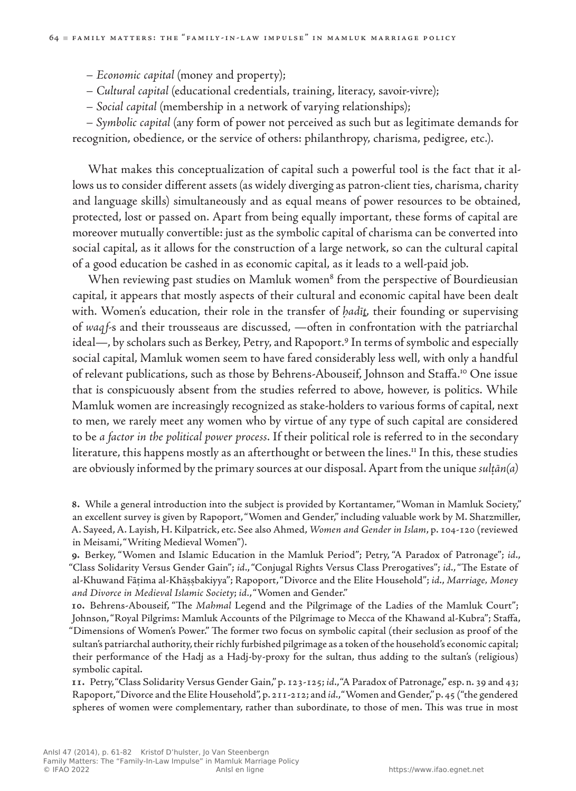- *Economic capital* (money and property);
- *Cultural capital* (educational credentials, training, literacy, savoir-vivre);
- *Social capital* (membership in a network of varying relationships);

*– Symbolic capital* (any form of power not perceived as such but as legitimate demands for recognition, obedience, or the service of others: philanthropy, charisma, pedigree, etc.).

What makes this conceptualization of capital such a powerful tool is the fact that it allows us to consider different assets (as widely diverging as patron-client ties, charisma, charity and language skills) simultaneously and as equal means of power resources to be obtained, protected, lost or passed on. Apart from being equally important, these forms of capital are moreover mutually convertible: just as the symbolic capital of charisma can be converted into social capital, as it allows for the construction of a large network, so can the cultural capital of a good education be cashed in as economic capital, as it leads to a well-paid job.

When reviewing past studies on Mamluk women<sup>8</sup> from the perspective of Bourdieusian capital, it appears that mostly aspects of their cultural and economic capital have been dealt with. Women's education, their role in the transfer of *ḥadīt*, their founding or supervising of *waqf-*s and their trousseaus are discussed, —often in confrontation with the patriarchal ideal—, by scholars such as Berkey, Petry, and Rapoport.<sup>9</sup> In terms of symbolic and especially social capital, Mamluk women seem to have fared considerably less well, with only a handful of relevant publications, such as those by Behrens-Abouseif, Johnson and Staffa.10 One issue that is conspicuously absent from the studies referred to above, however, is politics. While Mamluk women are increasingly recognized as stake-holders to various forms of capital, next to men, we rarely meet any women who by virtue of any type of such capital are considered to be *a factor in the political power process*. If their political role is referred to in the secondary literature, this happens mostly as an afterthought or between the lines.11 In this, these studies are obviously informed by the primary sources at our disposal. Apart from the unique *sulṭān(a)*

**8.** While a general introduction into the subject is provided by Kortantamer,"Woman in Mamluk Society," an excellent survey is given by Rapoport,"Women and Gender,"including valuable work by M. Shatzmiller, A. Sayeed, A. Layish, H. Kilpatrick, etc. See also Ahmed,*Women and Gender in Islam*, p. 104-120 (reviewed in Meisami,"Writing Medieval Women").

**9.** Berkey, "Women and Islamic Education in the Mamluk Period"; Petry, "A Paradox of Patronage"; *id*., "Class Solidarity Versus Gender Gain"; *id*.,"Conjugal Rights Versus Class Prerogatives"; *id*.,"The Estate of al-Khuwand Fāṭima al-Khāṣṣbakiyya"; Rapoport,"Divorce and the Elite Household"; *id*., *Marriage, Money and Divorce in Medieval Islamic Society*; *id.*,"Women and Gender."

**10.** Behrens-Abouseif, "The *Mahmal* Legend and the Pilgrimage of the Ladies of the Mamluk Court"; Johnson,"Royal Pilgrims: Mamluk Accounts of the Pilgrimage to Mecca of the Khawand al-Kubra"; Staffa, "Dimensions of Women's Power." The former two focus on symbolic capital (their seclusion as proof of the sultan's patriarchal authority, their richly furbished pilgrimage as a token of the household's economic capital; their performance of the Hadj as a Hadj-by-proxy for the sultan, thus adding to the sultan's (religious) symbolic capital.

**11.** Petry,"Class Solidarity Versus Gender Gain," p. 123-125; *id*.,"A Paradox of Patronage," esp. n. 39 and 43; Rapoport,"Divorce and the Elite Household", p. 211-212; and *id*.,"Women and Gender,"p. 45 ("the gendered spheres of women were complementary, rather than subordinate, to those of men. This was true in most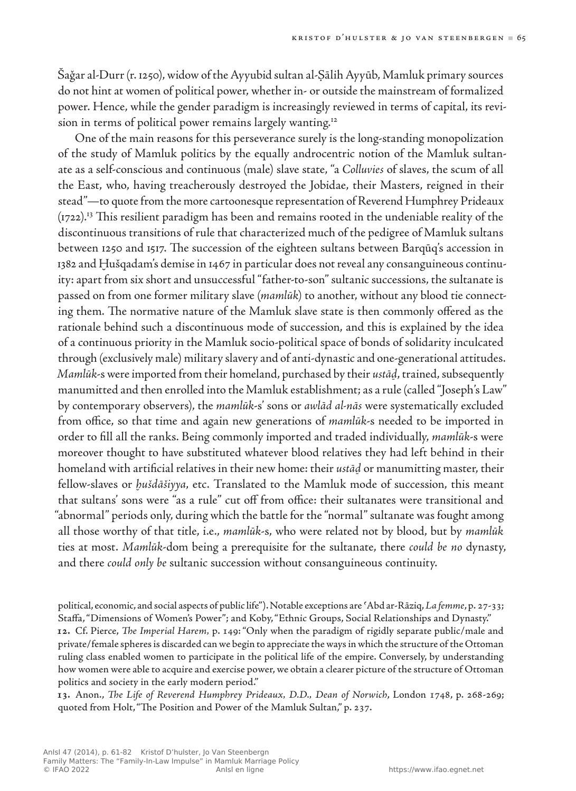Šaǧar al-Durr (r. 1250), widow of the Ayyubid sultan al-Ṣālih Ayyūb, Mamluk primary sources do not hint at women of political power, whether in- or outside the mainstream of formalized power. Hence, while the gender paradigm is increasingly reviewed in terms of capital, its revision in terms of political power remains largely wanting.<sup>12</sup>

One of the main reasons for this perseverance surely is the long-standing monopolization of the study of Mamluk politics by the equally androcentric notion of the Mamluk sultanate as a self-conscious and continuous (male) slave state, "a *Colluvies* of slaves, the scum of all the East, who, having treacherously destroyed the Jobidae, their Masters, reigned in their stead"—to quote from the more cartoonesque representation of Reverend Humphrey Prideaux  $(1722).$ <sup>13</sup> This resilient paradigm has been and remains rooted in the undeniable reality of the discontinuous transitions of rule that characterized much of the pedigree of Mamluk sultans between 1250 and 1517. The succession of the eighteen sultans between Barqūq's accession in 1382 and Ḫušqadam's demise in 1467 in particular does not reveal any consanguineous continuity: apart from six short and unsuccessful "father-to-son" sultanic successions, the sultanate is passed on from one former military slave (*mamlūk*) to another, without any blood tie connecting them. The normative nature of the Mamluk slave state is then commonly offered as the rationale behind such a discontinuous mode of succession, and this is explained by the idea of a continuous priority in the Mamluk socio-political space of bonds of solidarity inculcated through (exclusively male) military slavery and of anti-dynastic and one-generational attitudes. *Mamlūk*-s were imported from their homeland, purchased by their *ustāḏ*, trained, subsequently manumitted and then enrolled into the Mamluk establishment; as a rule (called "Joseph's Law" by contemporary observers), the *mamlūk*-s' sons or *awlād al-nās* were systematically excluded from office, so that time and again new generations of *mamlūk*-s needed to be imported in order to fill all the ranks. Being commonly imported and traded individually, *mamlūk*-s were moreover thought to have substituted whatever blood relatives they had left behind in their homeland with artificial relatives in their new home: their *ustāḏ* or manumitting master, their fellow-slaves or *ḫušdāšiyya*, etc. Translated to the Mamluk mode of succession, this meant that sultans' sons were "as a rule" cut off from office: their sultanates were transitional and "abnormal" periods only, during which the battle for the "normal" sultanate was fought among all those worthy of that title, i.e., *mamlūk*-s, who were related not by blood, but by *mamlūk* ties at most. *Mamlūk*-dom being a prerequisite for the sultanate, there *could be no* dynasty, and there *could only be* sultanic succession without consanguineous continuity.

political, economic, and social aspects of public life").Notable exceptions are ʿAbd ar-Rāziq,*La femme*,p. 27-33; Staffa,"Dimensions of Women's Power"; and Koby,"Ethnic Groups, Social Relationships and Dynasty." **12.** Cf. Pierce, *The Imperial Harem,* p. 149:"Only when the paradigm of rigidly separate public/male and private/female spheresis discarded can we begin to appreciate the waysin which the structure of the Ottoman ruling class enabled women to participate in the political life of the empire. Conversely, by understanding how women were able to acquire and exercise power, we obtain a clearer picture of the structure of Ottoman politics and society in the early modern period."

**13.** Anon., *The Life of Reverend Humphrey Prideaux, D.D., Dean of Norwich*, London 1748, p. 268-269; quoted from Holt,"The Position and Power of the Mamluk Sultan," p. 237.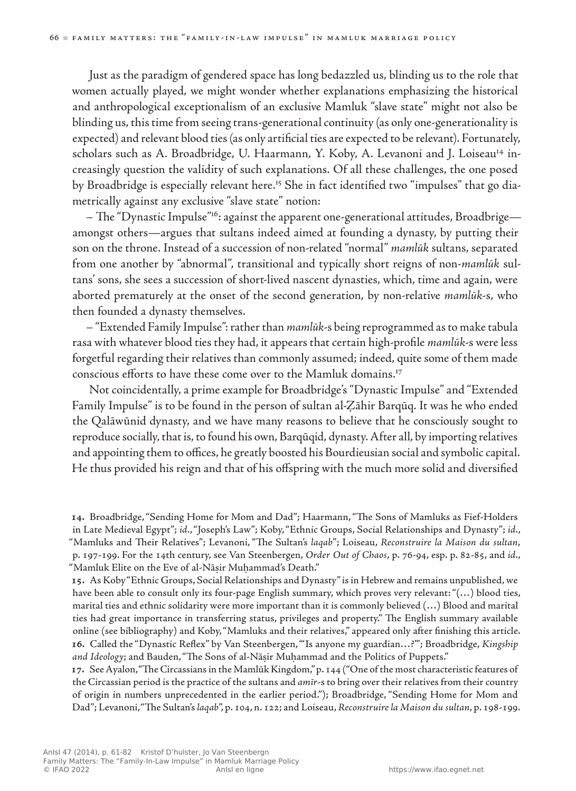Just as the paradigm of gendered space has long bedazzled us, blinding us to the role that women actually played, we might wonder whether explanations emphasizing the historical and anthropological exceptionalism of an exclusive Mamluk "slave state" might not also be blinding us, this time from seeing trans-generational continuity (as only one-generationality is expected) and relevant blood ties (as only artificial ties are expected to be relevant). Fortunately, scholars such as A. Broadbridge, U. Haarmann, Y. Koby, A. Levanoni and J. Loiseau<sup>14</sup> increasingly question the validity of such explanations. Of all these challenges, the one posed by Broadbridge is especially relevant here.<sup>15</sup> She in fact identified two "impulses" that go diametrically against any exclusive "slave state" notion:

– The "Dynastic Impulse"16: against the apparent one-generational attitudes, Broadbrige amongst others—argues that sultans indeed aimed at founding a dynasty, by putting their son on the throne. Instead of a succession of non-related "normal" *mamlūk* sultans, separated from one another by "abnormal", transitional and typically short reigns of non-*mamlūk* sultans' sons, she sees a succession of short-lived nascent dynasties, which, time and again, were aborted prematurely at the onset of the second generation, by non-relative *mamlūk*-s, who then founded a dynasty themselves.

– "Extended Family Impulse": rather than *mamlūk*-s being reprogrammed as to make tabula rasa with whatever blood ties they had, it appears that certain high-profile *mamlūk*-s were less forgetful regarding their relatives than commonly assumed; indeed, quite some of them made conscious efforts to have these come over to the Mamluk domains.<sup>17</sup>

Not coincidentally, a prime example for Broadbridge's "Dynastic Impulse" and "Extended Family Impulse" is to be found in the person of sultan al-Ẓāhir Barqūq. It was he who ended the Qalāwūnid dynasty, and we have many reasons to believe that he consciously sought to reproduce socially, that is, to found his own, Barqūqid, dynasty. After all, by importing relatives and appointing them to offices, he greatly boosted his Bourdieusian social and symbolic capital. He thus provided his reign and that of his offspring with the much more solid and diversified

**17.** SeeAyalon,"TheCircassiansin the Mamlūk Kingdom,"p. 144 ("One of the most characteristic features of the Circassian period is the practice of the sultans and *amīr*-s to bring over their relatives from their country of origin in numbers unprecedented in the earlier period."); Broadbridge, "Sending Home for Mom and Dad"; Levanoni,"The Sultan's*laqab*", p. 104, n. 122; and Loiseau,*Reconstruire la Maison du sultan*, p. 198-199.

**<sup>14</sup>.** Broadbridge,"Sending Home for Mom and Dad"; Haarmann,"The Sons of Mamluks as Fief-Holders in Late Medieval Egypt"; *id*.,"Joseph's Law"; Koby,"Ethnic Groups, Social Relationships and Dynasty"; *id*., "Mamluks and Their Relatives"; Levanoni,"The Sultan's *laqab*"; Loiseau, *Reconstruire la Maison du sultan*, p. 197-199. For the 14th century, see Van Steenbergen, *Order Out of Chaos*, p. 76-94, esp. p. 82-85, and *id*., "Mamluk Elite on the Eve of al-Nāṣir Muḥammad's Death."

**<sup>15</sup>.** As Koby"Ethnic Groups, Social Relationships and Dynasty"isin Hebrew and remains unpublished, we have been able to consult only its four-page English summary, which proves very relevant:"(…) blood ties, marital ties and ethnic solidarity were more important than it is commonly believed (…) Blood and marital ties had great importance in transferring status, privileges and property." The English summary available online (see bibliography) and Koby,"Mamluks and their relatives," appeared only after finishing this article. **16.** Called the "Dynastic Reflex" by Van Steenbergen,"'Is anyone my guardian…?'"; Broadbridge, *Kingship and Ideology*; and Bauden,"The Sons of al-Nāṣir Muḥammad and the Politics of Puppets."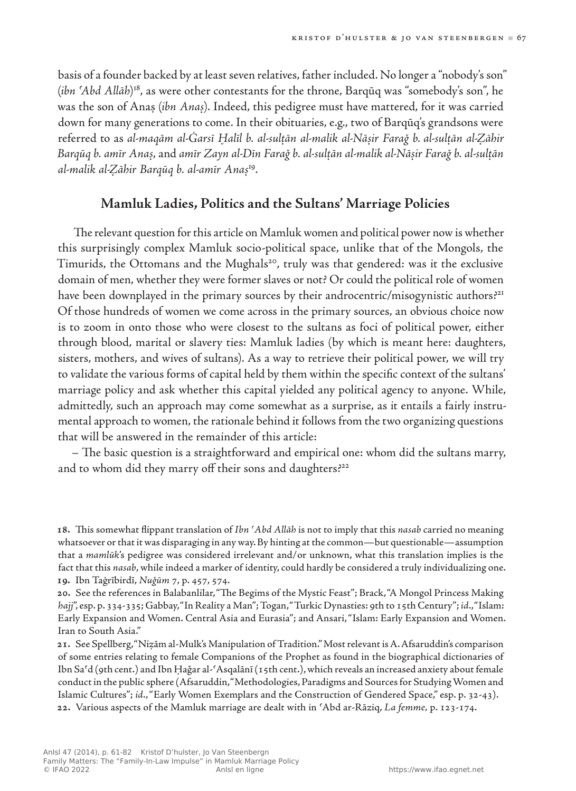basis of a founder backed by at least seven relatives, father included. No longer a "nobody's son" (*ibn ʿAbd Allāh*)18, as were other contestants for the throne, Barqūq was "somebody's son", he was the son of Anaṣ (*ibn Anaṣ*). Indeed, this pedigree must have mattered, for it was carried down for many generations to come. In their obituaries, e.g., two of Barqūq's grandsons were referred to as *al-maqām al-Ġarsī Ḫalīl b. al-sulṭān al-malik al-Nāṣir Faraǧ b. al-sulṭān al-Ẓāhir Barqūq b. amīr Anaṣ*, and *amīr Zayn al-Dīn Faraǧ b. al-sulṭān al-malik al-Nāṣir Faraǧ b. al-sulṭān al-malik al-Ẓāhir Barqūq b. al-amīr Anaṣ*19.

## **Mamluk Ladies, Politics and the Sultans' Marriage Policies**

The relevant question for this article on Mamluk women and political power now is whether this surprisingly complex Mamluk socio-political space, unlike that of the Mongols, the Timurids, the Ottomans and the Mughals<sup>20</sup>, truly was that gendered: was it the exclusive domain of men, whether they were former slaves or not? Or could the political role of women have been downplayed in the primary sources by their androcentric/misogynistic authors?<sup>21</sup> Of those hundreds of women we come across in the primary sources, an obvious choice now is to zoom in onto those who were closest to the sultans as foci of political power, either through blood, marital or slavery ties: Mamluk ladies (by which is meant here: daughters, sisters, mothers, and wives of sultans). As a way to retrieve their political power, we will try to validate the various forms of capital held by them within the specific context of the sultans' marriage policy and ask whether this capital yielded any political agency to anyone. While, admittedly, such an approach may come somewhat as a surprise, as it entails a fairly instrumental approach to women, the rationale behind it follows from the two organizing questions that will be answered in the remainder of this article:

– The basic question is a straightforward and empirical one: whom did the sultans marry, and to whom did they marry off their sons and daughters?<sup>22</sup>

**21.** See Spellberg,"Niẓām al-Mulk's Manipulation of Tradition."MostrelevantisA.Afsaruddin's comparison of some entries relating to female Companions of the Prophet as found in the biographical dictionaries of Ibn Sa'd (9th cent.) and Ibn Ḥaǧar al-'Asqalānī (15th cent.), which reveals an increased anxiety about female conduct in the public sphere (Afsaruddin, "Methodologies, Paradigms and Sources for Studying Women and Islamic Cultures"; *id*.,"Early Women Exemplars and the Construction of Gendered Space," esp. p. 32-43). **22.** Various aspects of the Mamluk marriage are dealt with in ʿAbd ar-Rāziq, *La femme,* p. 123-174.

**<sup>18</sup>.** This somewhat flippant translation of *Ibn ʿAbd Allāh* is not to imply that this *nasab* carried no meaning whatsoever or that it was disparaging in any way. By hinting at the common—but questionable—assumption that a *mamlūk*'s pedigree was considered irrelevant and/or unknown, what this translation implies is the fact that this *nasab*, while indeed a marker of identity, could hardly be considered a truly individualizing one. **19.** Ibn Taġrībirdī, *Nuǧūm* 7, p. 457, 574.

**<sup>20</sup>.** See the references in Balabanlilar,"The Begims of the Mystic Feast"; Brack,"A Mongol Princess Making *hajj*", esp. p. 334-335; Gabbay,"InReality a Man";Togan,"Turkic Dynasties: 9th to 15thCentury"; *id*.,"Islam: Early Expansion and Women. Central Asia and Eurasia"; and Ansari,"Islam: Early Expansion and Women. Iran to South Asia."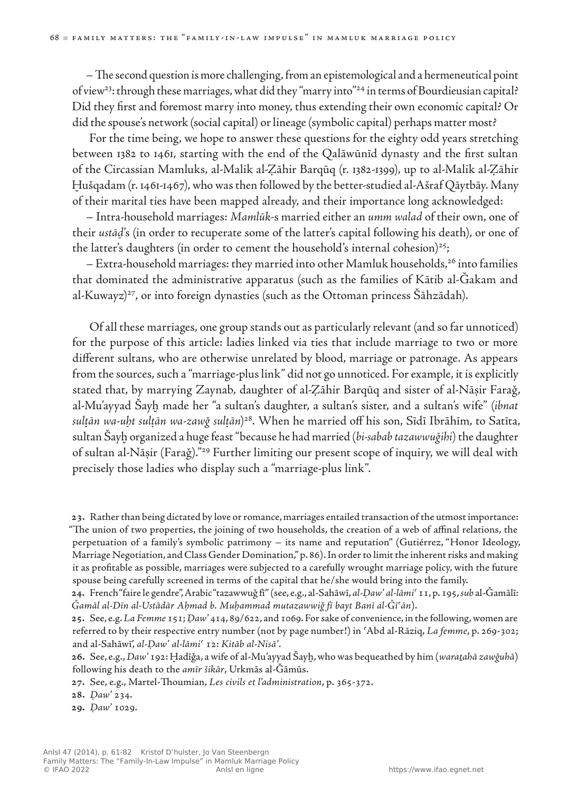– The second question is more challenging, from an epistemological and a hermeneutical point of view23: through these marriages, what did they "marry into"24 in terms of Bourdieusian capital? Did they first and foremost marry into money, thus extending their own economic capital? Or did the spouse's network (social capital) or lineage (symbolic capital) perhaps matter most?

For the time being, we hope to answer these questions for the eighty odd years stretching between 1382 to 1461, starting with the end of the Qalāwūnīd dynasty and the first sultan of the Circassian Mamluks, al-Malik al-Ẓāhir Barqūq (r. 1382-1399), up to al-Malik al-Ẓāhir Ḫušqadam (r. 1461-1467), who was then followed by the better-studied al-Ašraf Qāytbāy. Many of their marital ties have been mapped already, and their importance long acknowledged:

– Intra-household marriages: *Mamlūk*-s married either an *umm walad* of their own, one of their *ustāḏ*'s (in order to recuperate some of the latter's capital following his death), or one of the latter's daughters (in order to cement the household's internal cohesion)<sup>25</sup>;

 $-$  Extra-household marriages: they married into other Mamluk households,<sup>26</sup> into families that dominated the administrative apparatus (such as the families of Kātib al-Gakam and al-Kuwayz)<sup>27</sup>, or into foreign dynasties (such as the Ottoman princess Sāhzādah).

Of all these marriages, one group stands out as particularly relevant (and so far unnoticed) for the purpose of this article: ladies linked via ties that include marriage to two or more different sultans, who are otherwise unrelated by blood, marriage or patronage. As appears from the sources, such a "marriage-plus link" did not go unnoticed. For example, it is explicitly stated that, by marrying Zaynab, daughter of al-Ẓāhir Barqūq and sister of al-Nāṣir Faraǧ, al-Mu'ayyad Šayḫ made her "a sultan's daughter, a sultan's sister, and a sultan's wife" (*ibnat sulṭān wa-uḫt sulṭān wa-zawǧ sulṭān*)28. When he married off his son, Sīdī Ibrāhīm, to Satīta, sultan Šayḫ organized a huge feast "because he had married (*bi-sabab tazawwuǧihi*) the daughter of sultan al-Nāṣir (Faraǧ)."29 Further limiting our present scope of inquiry, we will deal with precisely those ladies who display such a "marriage-plus link".

23. Rather than being dictated by love or romance, marriages entailed transaction of the utmost importance: "The union of two properties, the joining of two households, the creation of a web of affinal relations, the perpetuation of a family's symbolic patrimony – its name and reputation" (Gutiérrez, "Honor Ideology, Marriage Negotiation, and Class Gender Domination," p. 86). In order to limit the inherent risks and making it as profitable as possible, marriages were subjected to a carefully wrought marriage policy, with the future spouse being carefully screened in terms of the capital that he/she would bring into the family.

**24.** French"faire le gendre",Arabic"tazawwuǧ fī"(see, e.g., al-Sahāwī, *al-Ḍaw' al-lāmiʿ* 11,p. 195,*sub* al-Ǧamālī: *Ǧamāl al-Dīn al-Ustādār Aḥmad b. Muḥammad mutazawwiǧ fī bayt Banī al-Ǧīʿān*).

**25.** See, e.g. *La Femme* 151;*Ḍaw'* 414, 89/622, and 1069.Forsake of convenience,in the following,women are referred to by their respective entry number (not by page number!) in ʿAbd al-Rāziq, *La femme*, p. 269-302; and al-Sahāwī', *al-Ḍaw' al-lāmiʿ* 12: *Kitāb al-Nisā'*.

**26.** See, e.g., *Daw'* 192: Ḫadīǧa, a wife of al-Mu'ayyad Šayḫ,who was bequeathed by him (*waratahā zawǧuhā*) following his death to the *amīr šikār*, Urkmās al-Ǧāmūs.

**29.** *Ḍaw'* 1029.

**<sup>27</sup>.** See, e.g., Martel-Thoumian, *Les civils et l'administration*, p. 365-372.

**<sup>28</sup>.** *Ḍaw'* 234.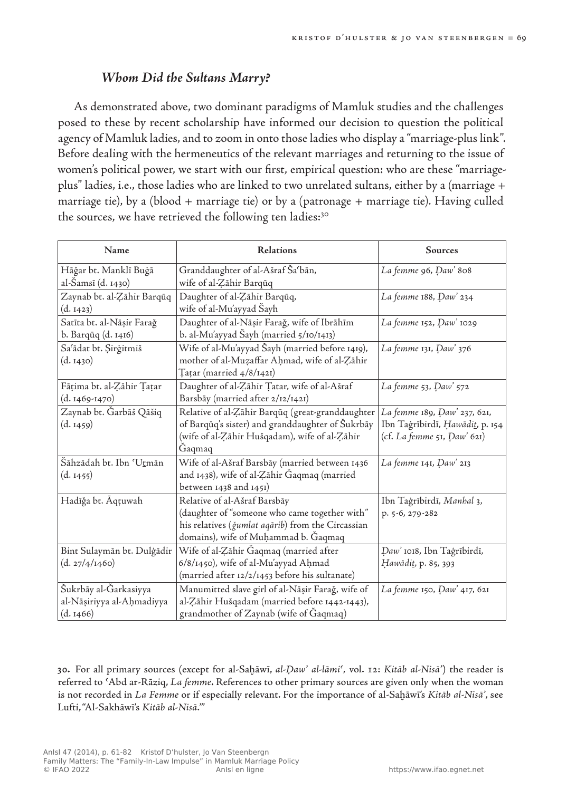## *Whom Did the Sultans Marry?*

As demonstrated above, two dominant paradigms of Mamluk studies and the challenges posed to these by recent scholarship have informed our decision to question the political agency of Mamluk ladies, and to zoom in onto those ladies who display a "marriage-plus link". Before dealing with the hermeneutics of the relevant marriages and returning to the issue of women's political power, we start with our first, empirical question: who are these "marriageplus" ladies, i.e., those ladies who are linked to two unrelated sultans, either by a (marriage + marriage tie), by a (blood + marriage tie) or by a (patronage + marriage tie). Having culled the sources, we have retrieved the following ten ladies:<sup>30</sup>

| Name                       | <b>Relations</b>                                  | Sources                         |
|----------------------------|---------------------------------------------------|---------------------------------|
| Hāğar bt. Manklī Buģā      | Granddaughter of al-Ašraf Ša'bān,                 | La femme 96, Daw' 808           |
| al-Šamsī (d. 1430)         | wife of al-Zāhir Barqūq                           |                                 |
| Zaynab bt. al-Zāhir Barqūq | Daughter of al-Zāhir Barqūq,                      | La femme 188, Daw' 234          |
| (d. 1423)                  | wife of al-Mu'ayyad Šayh                          |                                 |
| Satīta bt. al-Nāșir Farağ  | Daughter of al-Nāșir Farağ, wife of Ibrāhīm       | La femme 152, Daw' 1029         |
| b. Barqūq (d. 1416)        | b. al-Mu'ayyad Šayh (married 5/10/1413)           |                                 |
| Sa'ādat bt. Şirģitmiš      | Wife of al-Mu'ayyad Šayh (married before 1419),   | La femme 131, Daw' 376          |
| (d. 1430)                  | mother of al-Muzaffar Ahmad, wife of al-Zāhir     |                                 |
|                            | Tatar (married 4/8/1421)                          |                                 |
| Fāțima bt. al-Zāhir Țațar  | Daughter of al-Zāhir Țatar, wife of al-Ašraf      | La femme 53, Daw' 572           |
| (d. 1469-1470)             | Barsbāy (married after 2/12/1421)                 |                                 |
| Zaynab bt. Ğarbāš Qāšiq    | Relative of al-Zāhir Barqūq (great-granddaughter  | La femme 189, Daw' 237, 621,    |
| (d. 1459)                  | of Barqūq's sister) and granddaughter of Šukrbāy  | Ibn Taģrībirdī, Hawādit, p. 154 |
|                            | (wife of al-Zāhir Hušqadam), wife of al-Zāhir     | (cf. La femme 51, Daw' 621)     |
|                            | Gaqmaq                                            |                                 |
| Šāhzādah bt. Ibn 'Utmān    | Wife of al-Ašraf Barsbāy (married between 1436    | La femme 141, Daw' 213          |
| (d. 1455)                  | and 1438), wife of al-Zāhir Gaqmaq (married       |                                 |
|                            | between 1438 and 1451)                            |                                 |
| Hadīğa bt. Āqṭuwah         | Relative of al-Ašraf Barsbāy                      | Ibn Tağrībirdī, Manhal 3,       |
|                            | (daughter of "someone who came together with"     | p. 5-6, 279-282                 |
|                            | his relatives (ğumlat aqārib) from the Circassian |                                 |
|                            | domains), wife of Muhammad b. Gaqmaq              |                                 |
| Bint Sulaymān bt. Dulģādir | Wife of al-Zāhir Ğaqmaq (married after            | Daw' 1018, Ibn Tağrībirdī,      |
| (d. 27/4/1460)             | 6/8/1450), wife of al-Mu'ayyad Ahmad              | Hawādit, p. 85, 393             |
|                            | (married after 12/2/1453 before his sultanate)    |                                 |
| Šukrbāy al-Ġarkasiyya      | Manumitted slave girl of al-Nāșir Farağ, wife of  | La femme 150, Daw' 417, 621     |
| al-Nāșiriyya al-Ahmadiyya  | al-Zāhir Hušqadam (married before 1442-1443),     |                                 |
| (d. 1466)                  | grandmother of Zaynab (wife of Gaqmaq)            |                                 |

**30.** For all primary sources (except for al-Saḫāwī, *al-Ḍaw' al-lāmiʿ,* vol. 12: *Kitāb al-Nisā'*) the reader is referred to ʿAbd ar-Rāziq, *La femme*. References to other primary sources are given only when the woman is not recorded in *La Femme* or if especially relevant. For the importance of al-Saḫāwī's *Kitāb al-Nisā'*, see Lufti,"Al-Sakhāwī's *Kitāb al-Nisā.'*"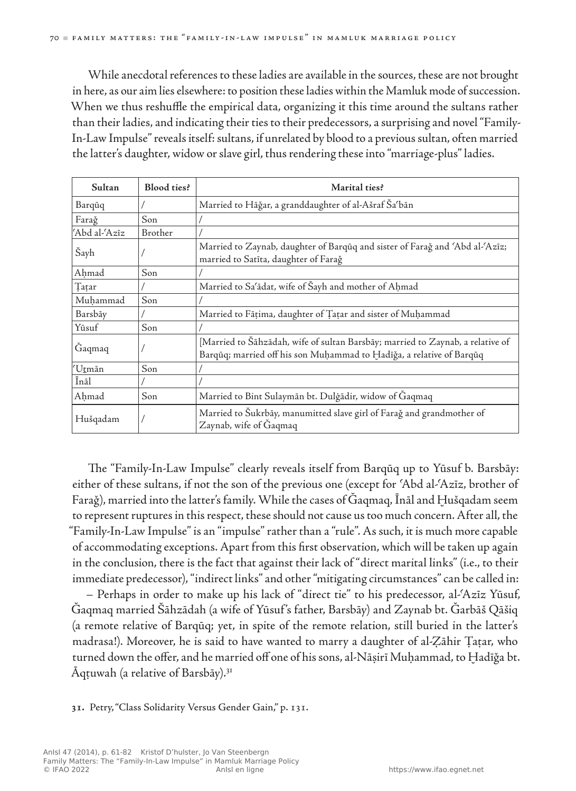While anecdotal references to these ladies are available in the sources, these are not brought in here, as our aim lies elsewhere: to position these ladies within the Mamluk mode of succession. When we thus reshuffle the empirical data, organizing it this time around the sultans rather than their ladies, and indicating their ties to their predecessors, a surprising and novel "Family-In-Law Impulse" reveals itself: sultans, if unrelated by blood to a previous sultan, often married the latter's daughter, widow or slave girl, thus rendering these into "marriage-plus" ladies.

| Sultan        | Blood ties? | Marital ties?                                                                                                                                          |
|---------------|-------------|--------------------------------------------------------------------------------------------------------------------------------------------------------|
| Barqūq        |             | Married to Hāğar, a granddaughter of al-Ašraf Ša'bān                                                                                                   |
| Farağ         | Son         |                                                                                                                                                        |
| 'Abd al-ʿAzīz | Brother     |                                                                                                                                                        |
| Šayh          |             | Married to Zaynab, daughter of Barquq and sister of Farağ and 'Abd al-'Azīz;<br>married to Satīta, daughter of Farağ                                   |
| Ahmad         | Son         |                                                                                                                                                        |
| Taṭar         |             | Married to Sa'adat, wife of Sayh and mother of Ahmad                                                                                                   |
| Muhammad      | Son         |                                                                                                                                                        |
| Barsbāy       |             | Married to Fāțima, daughter of Țațar and sister of Muḥammad                                                                                            |
| Yūsuf         | Son         |                                                                                                                                                        |
| Gaqmaq        |             | [Married to Šāhzādah, wife of sultan Barsbāy; married to Zaynab, a relative of<br>Barqūq; married off his son Muḥammad to Hadīǧa, a relative of Barqūq |
| 'Uṯmān        | Son         |                                                                                                                                                        |
| Īnāl          |             |                                                                                                                                                        |
| Ahmad         | Son         | Married to Bint Sulaymān bt. Dulģādir, widow of Gaqmaq                                                                                                 |
| Hušqadam      |             | Married to Šukrbāy, manumitted slave girl of Farağ and grandmother of<br>Zaynab, wife of Gagmag                                                        |

The "Family-In-Law Impulse" clearly reveals itself from Barqūq up to Yūsuf b. Barsbāy: either of these sultans, if not the son of the previous one (except for ʿAbd al-ʿAzīz, brother of Faraǧ), married into the latter's family. While the cases of Ǧaqmaq, Īnāl and Ḫušqadam seem to represent ruptures in this respect, these should not cause us too much concern. After all, the "Family-In-Law Impulse" is an "impulse" rather than a "rule". As such, it is much more capable of accommodating exceptions. Apart from this first observation, which will be taken up again in the conclusion, there is the fact that against their lack of "direct marital links" (i.e., to their immediate predecessor), "indirect links" and other "mitigating circumstances" can be called in:

– Perhaps in order to make up his lack of "direct tie" to his predecessor, al-ʿAzīz Yūsuf, Ǧaqmaq married Šāhzādah (a wife of Yūsuf 's father, Barsbāy) and Zaynab bt. Ǧarbāš Qāšiq (a remote relative of Barqūq; yet, in spite of the remote relation, still buried in the latter's madrasa!). Moreover, he is said to have wanted to marry a daughter of al-Ẓāhir Ṭaṭar, who turned down the offer, and he married off one of his sons, al-Nāṣirī Muḥammad, to Ḫadīǧa bt. Āqṭuwah (a relative of Barsbāy).<sup>31</sup>

**31.** Petry,"Class Solidarity Versus Gender Gain," p. 131.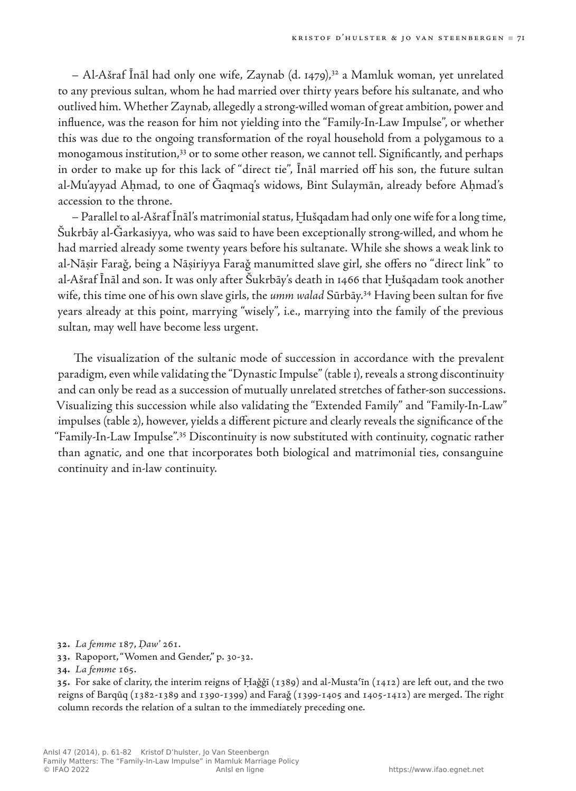$-$  Al-Ašraf Īnāl had only one wife, Zaynab (d. 1479),<sup>32</sup> a Mamluk woman, yet unrelated to any previous sultan, whom he had married over thirty years before his sultanate, and who outlived him. Whether Zaynab, allegedly a strong-willed woman of great ambition, power and influence, was the reason for him not yielding into the "Family-In-Law Impulse", or whether this was due to the ongoing transformation of the royal household from a polygamous to a monogamous institution,<sup>33</sup> or to some other reason, we cannot tell. Significantly, and perhaps in order to make up for this lack of "direct tie", Īnāl married off his son, the future sultan al-Mu'ayyad Aḥmad, to one of Ǧaqmaq's widows, Bint Sulaymān, already before Aḥmad's accession to the throne.

– Parallel to al-Ašraf Īnāl's matrimonial status, Ḫušqadam had only one wife for a long time, Šukrbāy al-Ǧarkasiyya, who was said to have been exceptionally strong-willed, and whom he had married already some twenty years before his sultanate. While she shows a weak link to al-Nāṣir Faraǧ, being a Nāṣiriyya Faraǧ manumitted slave girl, she offers no "direct link" to al-Ašraf Īnāl and son. It was only after Šukrbāy's death in 1466 that Ḫušqadam took another wife, this time one of his own slave girls, the *umm walad* Sūrbāy.34 Having been sultan for five years already at this point, marrying "wisely", i.e., marrying into the family of the previous sultan, may well have become less urgent.

The visualization of the sultanic mode of succession in accordance with the prevalent paradigm, even while validating the "Dynastic Impulse" (table 1), reveals a strong discontinuity and can only be read as a succession of mutually unrelated stretches of father-son successions. Visualizing this succession while also validating the "Extended Family" and "Family-In-Law" impulses (table 2), however, yields a different picture and clearly reveals the significance of the "Family-In-Law Impulse".35 Discontinuity is now substituted with continuity, cognatic rather than agnatic, and one that incorporates both biological and matrimonial ties, consanguine continuity and in-law continuity.

**33.** Rapoport,"Women and Gender," p. 30-32.

**<sup>32</sup>.** *La femme* 187, *Ḍaw'* 261.

**<sup>34</sup>.** *La femme* 165.

**<sup>35</sup>.** For sake of clarity, the interim reigns of Ḥaǧǧī (1389) and al-Mustaʿīn (1412) are left out, and the two reigns of Barqūq (1382-1389 and 1390-1399) and Faraǧ (1399-1405 and 1405-1412) are merged. The right column records the relation of a sultan to the immediately preceding one.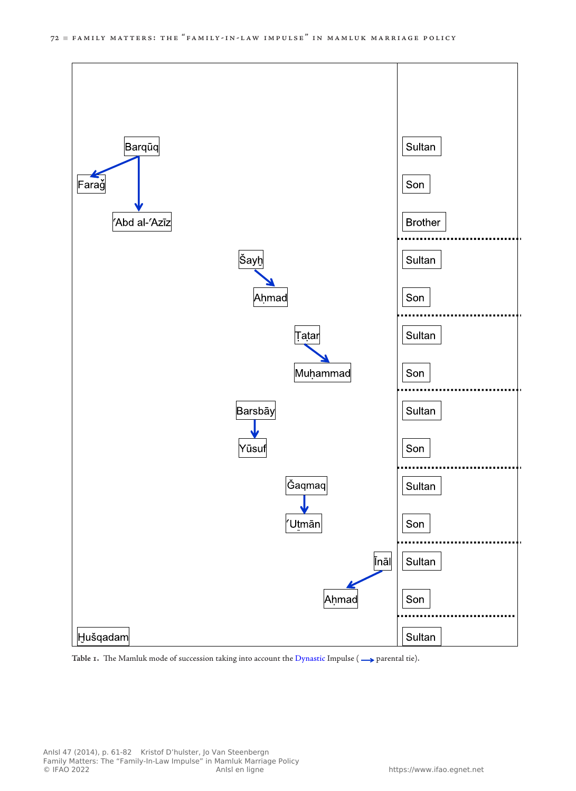

Table 1. The Mamluk mode of succession taking into account the Dynastic Impulse (
parental tie).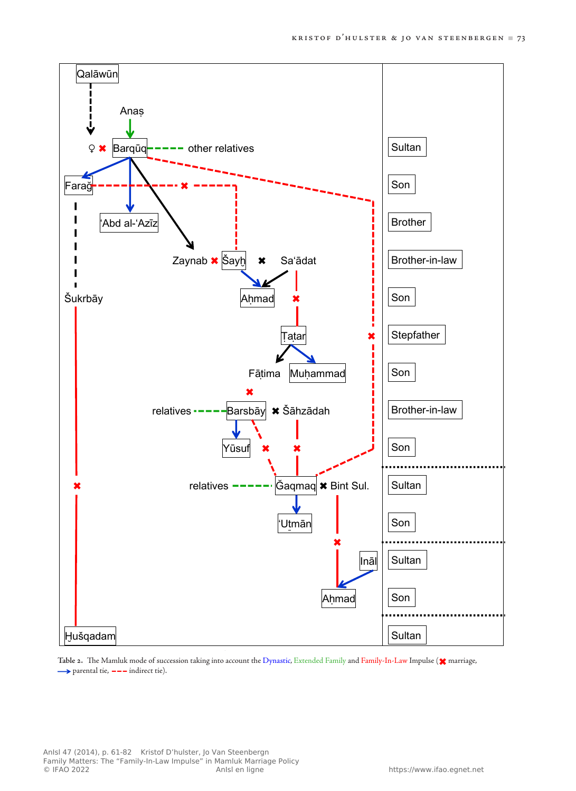

Table 2. The Mamluk mode of succession taking into account the Dynastic, Extended Family and <mark>Family-In-Law I</mark>mpulse (**\*** marriage, parental tie,  $---$  indirect tie).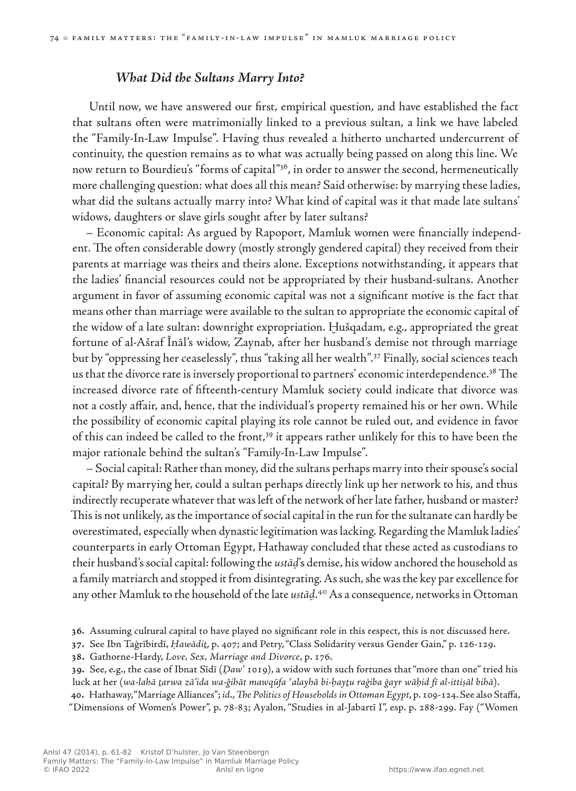#### *What Did the Sultans Marry Into?*

Until now, we have answered our first, empirical question, and have established the fact that sultans often were matrimonially linked to a previous sultan, a link we have labeled the "Family-In-Law Impulse". Having thus revealed a hitherto uncharted undercurrent of continuity, the question remains as to what was actually being passed on along this line. We now return to Bourdieu's "forms of capital"36, in order to answer the second, hermeneutically more challenging question: what does all this mean? Said otherwise: by marrying these ladies, what did the sultans actually marry into? What kind of capital was it that made late sultans' widows, daughters or slave girls sought after by later sultans?

– Economic capital: As argued by Rapoport, Mamluk women were financially independent. The often considerable dowry (mostly strongly gendered capital) they received from their parents at marriage was theirs and theirs alone. Exceptions notwithstanding, it appears that the ladies' financial resources could not be appropriated by their husband-sultans. Another argument in favor of assuming economic capital was not a significant motive is the fact that means other than marriage were available to the sultan to appropriate the economic capital of the widow of a late sultan: downright expropriation. Ḫušqadam, e.g., appropriated the great fortune of al-Ašraf Īnāl's widow, Zaynab, after her husband's demise not through marriage but by "oppressing her ceaselessly", thus "taking all her wealth".<sup>37</sup> Finally, social sciences teach us that the divorce rate is inversely proportional to partners' economic interdependence.<sup>38</sup> The increased divorce rate of fifteenth-century Mamluk society could indicate that divorce was not a costly affair, and, hence, that the individual's property remained his or her own. While the possibility of economic capital playing its role cannot be ruled out, and evidence in favor of this can indeed be called to the front,<sup>39</sup> it appears rather unlikely for this to have been the major rationale behind the sultan's "Family-In-Law Impulse".

– Social capital: Rather than money, did the sultans perhaps marry into their spouse's social capital? By marrying her, could a sultan perhaps directly link up her network to his, and thus indirectly recuperate whatever that was left of the network of her late father, husband or master? This is not unlikely, as the importance of social capital in the run for the sultanate can hardly be overestimated, especially when dynastic legitimation was lacking. Regarding the Mamluk ladies' counterparts in early Ottoman Egypt, Hathaway concluded that these acted as custodians to their husband's social capital: following the *ustāḏ*'s demise, his widow anchored the household as a family matriarch and stopped it from disintegrating. As such, she was the key par excellence for any other Mamluk to the household of the late *ustāḏ*. 40 As a consequence, networks in Ottoman

**<sup>36</sup>.** Assuming cultural capital to have played no significant role in this respect, this is not discussed here.

**<sup>37</sup>.** See Ibn Taġrībirdī, *Ḥawādit*, p. 407; and Petry,"Class Solidarity versus Gender Gain," p. 126-129.

**<sup>38</sup>.** Gathorne-Hardy, *Love, Sex, Marriage and Divorce*, p. 176.

**<sup>39</sup>.** See, e.g., the case of Ibnat Sīdī (*Ḍaw'* 1019), a widow with such fortunes that"more than one"tried his luck at her (*wa-lahā tarwa zā'ida wa-ǧihāt mawqūfa ʿalayhā bi-ḥaytu raġiba ġayr wāḥid fī al-ittiṣāl bihā*).

**<sup>40</sup>.** Hathaway,"MarriageAlliances"; *id*., *The Politics of Households in Ottoman Egypt*, p. 109-124.See also Staffa, "Dimensions of Women's Power", p. 78-83; Ayalon,"Studies in al-Jabartī I", esp. p. 288-299. Fay ("Women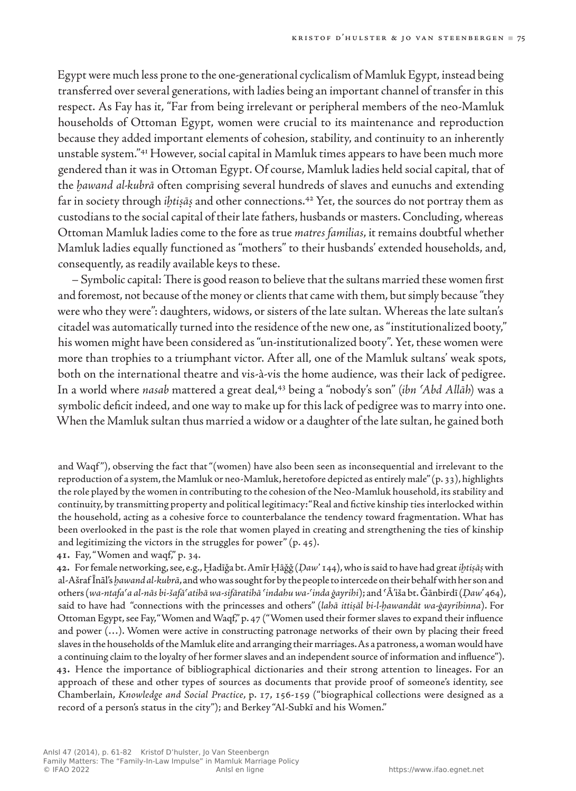Egypt were much less prone to the one-generational cyclicalism of Mamluk Egypt, instead being transferred over several generations, with ladies being an important channel of transfer in this respect. As Fay has it, "Far from being irrelevant or peripheral members of the neo-Mamluk households of Ottoman Egypt, women were crucial to its maintenance and reproduction because they added important elements of cohesion, stability, and continuity to an inherently unstable system."41 However, social capital in Mamluk times appears to have been much more gendered than it was in Ottoman Egypt. Of course, Mamluk ladies held social capital, that of the *ḫawand al-kubrā* often comprising several hundreds of slaves and eunuchs and extending far in society through *ihtiṣāṣ* and other connections.<sup>42</sup> Yet, the sources do not portray them as custodians to the social capital of their late fathers, husbands or masters. Concluding, whereas Ottoman Mamluk ladies come to the fore as true *matres familias*, it remains doubtful whether Mamluk ladies equally functioned as "mothers" to their husbands' extended households, and, consequently, as readily available keys to these.

– Symbolic capital: There is good reason to believe that the sultans married these women first and foremost, not because of the money or clients that came with them, but simply because "they were who they were": daughters, widows, or sisters of the late sultan. Whereas the late sultan's citadel was automatically turned into the residence of the new one, as "institutionalized booty," his women might have been considered as "un-institutionalized booty". Yet, these women were more than trophies to a triumphant victor. After all, one of the Mamluk sultans' weak spots, both on the international theatre and vis-à-vis the home audience, was their lack of pedigree. In a world where nasab mattered a great deal,<sup>43</sup> being a "nobody's son" (*ibn 'Abd Allāh*) was a symbolic deficit indeed, and one way to make up for this lack of pedigree was to marry into one. When the Mamluk sultan thus married a widow or a daughter of the late sultan, he gained both

and Waqf "), observing the fact that"(women) have also been seen as inconsequential and irrelevant to the reproduction of a system, the Mamluk or neo-Mamluk, heretofore depicted as entirely male" (p. 33), highlights the role played by the women in contributing to the cohesion of the Neo-Mamluk household, its stability and continuity, by transmitting property and political legitimacy:"Real and fictive kinship tiesinterlocked within the household, acting as a cohesive force to counterbalance the tendency toward fragmentation. What has been overlooked in the past is the role that women played in creating and strengthening the ties of kinship and legitimizing the victors in the struggles for power"(p. 45).

**41.** Fay,"Women and waqf," p. 34.

**42.** Forfemale networking,see, e.g.,Ḫadīǧa bt.AmīrḤāǧǧ (*Ḍaw'* 144),who issaid to have had great*iḫtiṣāṣ* with al-Ašraf Īnāl's *bawand al-kubrā*, and who was sought for by the people to intercede on their behalf with her son and others (*wa-ntafaʿa al-nās bi-šafāʿatihā wa-sifāratihā ʿindahu wa-ʿinda ġayrihi*); andʿĀ'iša bt.Ǧānbirdī(*Ḍaw*'464), said to have had "connections with the princesses and others" (*lahā ittiṣāl bi-l-ḫawandāt wa-ġayrihinna*). For Ottoman Egypt, see Fay, "Women and Waqf," p. 47 ("Women used their former slaves to expand their influence and power (…). Women were active in constructing patronage networks of their own by placing their freed slaves in the households of the Mamluk elite and arranging their marriages. As a patroness, a woman would have a continuing claim to the loyalty of her former slaves and an independent source of information and influence"). **43.** Hence the importance of bibliographical dictionaries and their strong attention to lineages. For an approach of these and other types of sources as documents that provide proof of someone's identity, see Chamberlain, *Knowledge and Social Practice*, p. 17, 156-159 ("biographical collections were designed as a record of a person's status in the city"); and Berkey "Al-Subkī and his Women."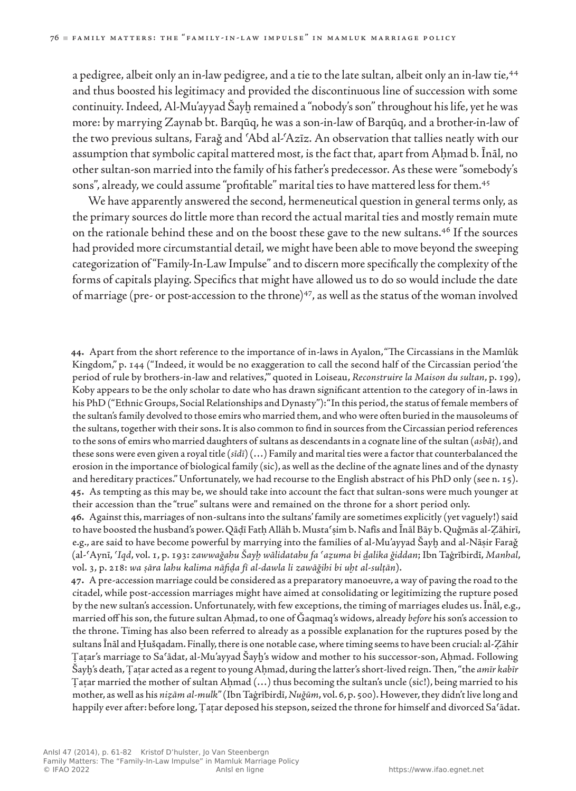a pedigree, albeit only an in-law pedigree, and a tie to the late sultan, albeit only an in-law tie, <sup>44</sup> and thus boosted his legitimacy and provided the discontinuous line of succession with some continuity. Indeed, Al-Mu'ayyad Šayḫ remained a "nobody's son" throughout his life, yet he was more: by marrying Zaynab bt. Barqūq, he was a son-in-law of Barqūq, and a brother-in-law of the two previous sultans, Faraǧ and ʿAbd al-ʿAzīz. An observation that tallies neatly with our assumption that symbolic capital mattered most, is the fact that, apart from Aḥmad b. Īnāl, no other sultan-son married into the family of his father's predecessor. As these were "somebody's sons", already, we could assume "profitable" marital ties to have mattered less for them.<sup>45</sup>

We have apparently answered the second, hermeneutical question in general terms only, as the primary sources do little more than record the actual marital ties and mostly remain mute on the rationale behind these and on the boost these gave to the new sultans.<sup>46</sup> If the sources had provided more circumstantial detail, we might have been able to move beyond the sweeping categorization of "Family-In-Law Impulse" and to discern more specifically the complexity of the forms of capitals playing. Specifics that might have allowed us to do so would include the date of marriage (pre- or post-accession to the throne) $47$ , as well as the status of the woman involved

**44.** Apart from the short reference to the importance of in-laws in Ayalon,"The Circassians in the Mamlūk Kingdom," p. 144 ("Indeed, it would be no exaggeration to call the second half of the Circassian period'the period of rule by brothers-in-law and relatives,'" quoted in Loiseau, *Reconstruire la Maison du sultan*, p. 199), Koby appears to be the only scholar to date who has drawn significant attention to the category of in-laws in his PhD ("Ethnic Groups, Social Relationships and Dynasty"): "In this period, the status of female members of the sultan'sfamily devolved to those emirs who married them, and who were often buried in the mausoleums of the sultans, together with their sons. It is also common to find in sources from the Circassian period references to the sons of emirs who married daughters ofsultans as descendantsin a cognate line of the sultan (*asbāṭ*), and these sons were even given a royaltitle (*sīdī*)(…) Family and maritalties were a factorthat counterbalanced the erosion in the importance of biological family (sic), as well asthe decline of the agnate lines and of the dynasty and hereditary practices."Unfortunately, we had recourse to the English abstract of his PhD only (see n. 15). **45.** As tempting as this may be, we should take into account the fact that sultan-sons were much younger at their accession than the "true" sultans were and remained on the throne for a short period only.

46. Against this, marriages of non-sultans into the sultans' family are sometimes explicitly (yet vaguely!) said to have boosted the husband's power.Qāḍī FatḥAllāh b.Mustaʿṣim b.Nafīs and Īnāl Bāy b.Quǧmās al-Ẓāhirī, e.g., are said to have become powerful by marrying into the families of al-Mu'ayyad Šayḫ and al-Nāṣir Faraǧ (al-ʿAynī, *ʿIqd*, vol. 1, p. 193: *zawwaǧahu Šayḫ wālidatahu fa ʿaẓuma bi dalika ǧiddan*; Ibn Taġrībirdī, *Manhal*, vol. 3, p. 218: *wa ṣāra lahu kalima nāfiḏa fī al-dawla li zawāǧihi bi uḫt al-sulṭān*).

**47.** A pre-accession marriage could be considered as a preparatory manoeuvre, a way of paving the road to the citadel, while post-accession marriages might have aimed at consolidating or legitimizing the rupture posed by the new sultan's accession. Unfortunately, with few exceptions, the timing of marriages eludes us. Ināl, e.g., married off hisson,the future sultanAḥmad,to one of Ǧaqmaq's widows, already *before* his son's accession to the throne. Timing has also been referred to already as a possible explanation for the ruptures posed by the sultansĪnāl and Ḫušqadam.Finally,there is one notable case,where timing seemsto have been crucial: al-Ẓāhir Ṭaṭar's marriage to Saʿādat, al-Mu'ayyad Šayḫ's widow and mother to his successor-son, Aḥmad. Following Šayḫ's death,Ṭaṭar acted as a regentto youngAḥmad,during the latter'sshort-lived reign.Then,"the *amīr kabīr* Ṭaṭar married the mother of sultan Aḥmad (…) thus becoming the sultan's uncle (sic!), being married to his mother, as well as his *niẓām al-mulk*"(IbnTaġrībirdī,*Nuǧūm*, vol. 6,p. 500).However,they didn'tlive long and happily ever after: before long, Țațar deposed his stepson, seized the throne for himself and divorced Sa'ādat.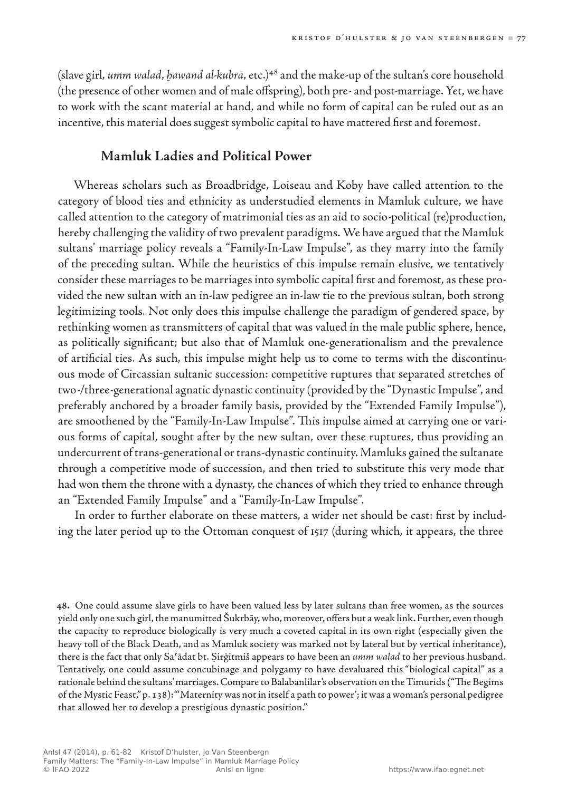(slave girl, *umm walad*, *ḫawand al-kubrā*, etc.)48 and the make-up of the sultan's core household (the presence of other women and of male offspring), both pre- and post-marriage. Yet, we have to work with the scant material at hand, and while no form of capital can be ruled out as an incentive, this material does suggest symbolic capital to have mattered first and foremost.

### **Mamluk Ladies and Political Power**

Whereas scholars such as Broadbridge, Loiseau and Koby have called attention to the category of blood ties and ethnicity as understudied elements in Mamluk culture, we have called attention to the category of matrimonial ties as an aid to socio-political (re)production, hereby challenging the validity of two prevalent paradigms. We have argued that the Mamluk sultans' marriage policy reveals a "Family-In-Law Impulse", as they marry into the family of the preceding sultan. While the heuristics of this impulse remain elusive, we tentatively consider these marriages to be marriages into symbolic capital first and foremost, as these provided the new sultan with an in-law pedigree an in-law tie to the previous sultan, both strong legitimizing tools. Not only does this impulse challenge the paradigm of gendered space, by rethinking women as transmitters of capital that was valued in the male public sphere, hence, as politically significant; but also that of Mamluk one-generationalism and the prevalence of artificial ties. As such, this impulse might help us to come to terms with the discontinuous mode of Circassian sultanic succession: competitive ruptures that separated stretches of two-/three-generational agnatic dynastic continuity (provided by the "Dynastic Impulse", and preferably anchored by a broader family basis, provided by the "Extended Family Impulse"), are smoothened by the "Family-In-Law Impulse". This impulse aimed at carrying one or various forms of capital, sought after by the new sultan, over these ruptures, thus providing an undercurrent of trans-generational or trans-dynastic continuity. Mamluks gained the sultanate through a competitive mode of succession, and then tried to substitute this very mode that had won them the throne with a dynasty, the chances of which they tried to enhance through an "Extended Family Impulse" and a "Family-In-Law Impulse".

In order to further elaborate on these matters, a wider net should be cast: first by including the later period up to the Ottoman conquest of 1517 (during which, it appears, the three

**48.** One could assume slave girls to have been valued less by later sultans than free women, as the sources yield only one such girl, the manumitted Šukrbāy, who, moreover, offers but a weak link. Further, even though the capacity to reproduce biologically is very much a coveted capital in its own right (especially given the heavy toll of the Black Death, and as Mamluk society was marked not by lateral but by vertical inheritance), there is the fact that only Saʿādat bt. Ṣirġitmiš appears to have been an *umm walad* to her previous husband. Tentatively, one could assume concubinage and polygamy to have devaluated this "biological capital" as a rationale behind the sultans'marriages.Compare to Balabanlilar's observation on theTimurids("The Begims of the Mystic Feast,"p. 138):"'Maternity was notin itself a path to power'; it was a woman's personal pedigree that allowed her to develop a prestigious dynastic position."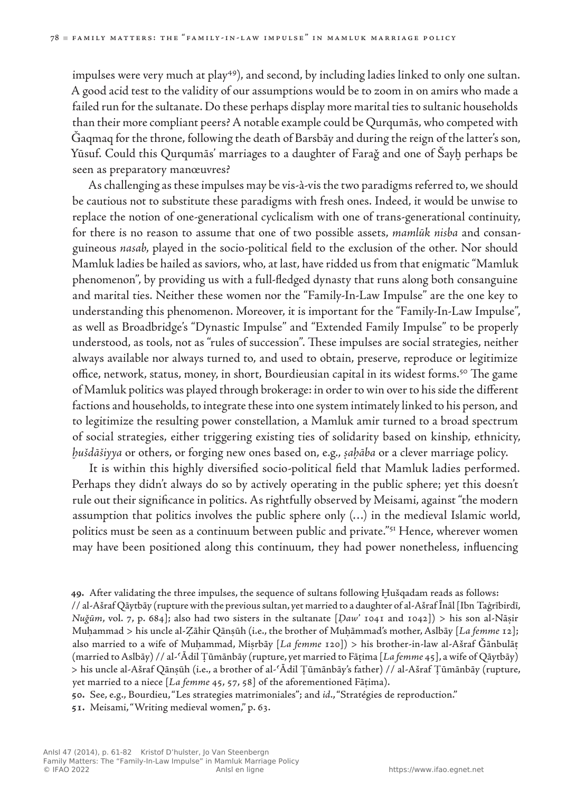impulses were very much at play<sup>49</sup>), and second, by including ladies linked to only one sultan. A good acid test to the validity of our assumptions would be to zoom in on amirs who made a failed run for the sultanate. Do these perhaps display more marital ties to sultanic households than their more compliant peers? A notable example could be Qurqumās, who competed with Ǧaqmaq for the throne, following the death of Barsbāy and during the reign of the latter's son, Yūsuf. Could this Qurqumās' marriages to a daughter of Faraǧ and one of Šayḫ perhaps be seen as preparatory manœuvres?

As challenging as these impulses may be vis-à-vis the two paradigms referred to, we should be cautious not to substitute these paradigms with fresh ones. Indeed, it would be unwise to replace the notion of one-generational cyclicalism with one of trans-generational continuity, for there is no reason to assume that one of two possible assets, *mamlūk nisba* and consanguineous *nasab*, played in the socio-political field to the exclusion of the other. Nor should Mamluk ladies be hailed as saviors, who, at last, have ridded us from that enigmatic "Mamluk phenomenon", by providing us with a full-fledged dynasty that runs along both consanguine and marital ties. Neither these women nor the "Family-In-Law Impulse" are the one key to understanding this phenomenon. Moreover, it is important for the "Family-In-Law Impulse", as well as Broadbridge's "Dynastic Impulse" and "Extended Family Impulse" to be properly understood, as tools, not as "rules of succession". These impulses are social strategies, neither always available nor always turned to, and used to obtain, preserve, reproduce or legitimize office, network, status, money, in short, Bourdieusian capital in its widest forms.<sup>50</sup> The game of Mamluk politics was played through brokerage: in order to win over to his side the different factions and households, to integrate these into one system intimately linked to his person, and to legitimize the resulting power constellation, a Mamluk amir turned to a broad spectrum of social strategies, either triggering existing ties of solidarity based on kinship, ethnicity, *ḫušdāšiyya* or others, or forging new ones based on, e.g., *ṣaḥāba* or a clever marriage policy.

It is within this highly diversified socio-political field that Mamluk ladies performed. Perhaps they didn't always do so by actively operating in the public sphere; yet this doesn't rule out their significance in politics. As rightfully observed by Meisami, against "the modern assumption that politics involves the public sphere only (…) in the medieval Islamic world, politics must be seen as a continuum between public and private."<sup>51</sup> Hence, wherever women may have been positioned along this continuum, they had power nonetheless, influencing

**<sup>49</sup>.** After validating the three impulses, the sequence of sultans following Ḫušqadam reads as follows: // al-Ašraf Qāytbāy (rupture with the previoussultan, yet married to a daughter of al-Ašraf Īnāl[Ibn Taġrībirdī, *Nuǧūm*, vol. 7, p. 684]; also had two sisters in the sultanate [*Ḍaw'* 1041 and 1042]) > his son al-Nāṣir Muḥammad > his uncle al-Ẓāhir Qānṣūh (i.e., the brother of Muḥāmmad's mother, Aslbāy [*La femme* 12]; also married to a wife of Muḥammad, Miṣrbāy [*La femme* 120]) > his brother-in-law al-Ašraf Ǧānbulāṭ (married to Aslbāy) // al-ʿĀdil Ṭūmānbāy (rupture, yet married to Fāṭima [*La femme* 45], a wife of Qāytbāy) > his uncle al-Ašraf Qānṣūh (i.e., a brother of al-ʿĀdil Ṭūmānbāy's father) // al-Ašraf Ṭūmānbāy (rupture, yet married to a niece [*La femme* 45, 57, 58] of the aforementioned Fāṭima).

**<sup>50</sup>.** See, e.g., Bourdieu,"Les strategies matrimoniales"; and *id*.,"Stratégies de reproduction."

**<sup>51</sup>.** Meisami,"Writing medieval women," p. 63.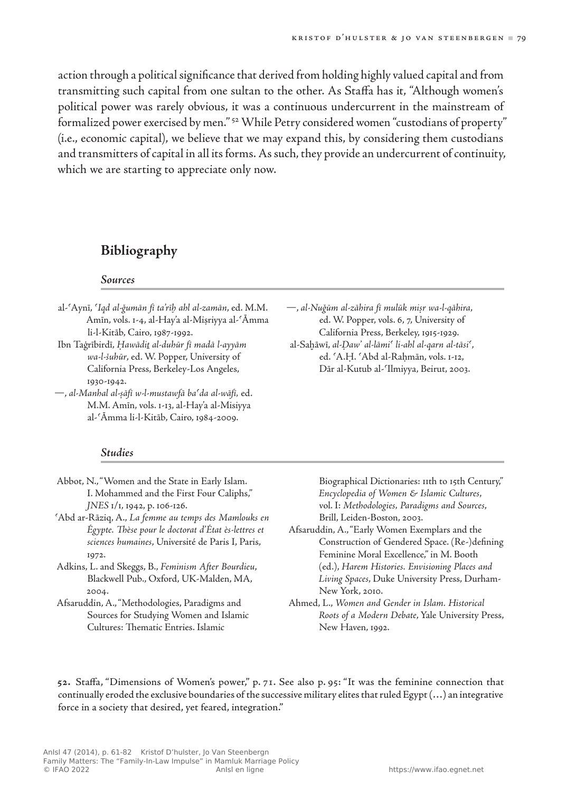action through a political significance that derived from holding highly valued capital and from transmitting such capital from one sultan to the other. As Staffa has it, "Although women's political power was rarely obvious, it was a continuous undercurrent in the mainstream of formalized power exercised by men." 52 While Petry considered women "custodians of property" (i.e., economic capital), we believe that we may expand this, by considering them custodians and transmitters of capital in all its forms. As such, they provide an undercurrent of continuity, which we are starting to appreciate only now.

## **Bibliography**

#### *Sources*

- al-ʿAynī, *ʿIqd al-ǧumān fī ta'rīḫ ahl al-zamān*, ed. M.M. Amīn, vols. 1-4, al-Hay'a al-Miṣriyya al-ʿĀmma li-l-Kitāb, Cairo, 1987-1992.
- Ibn Taġrībirdī, *Ḥawādit al-duhūr fī madā l-ayyām wa-l-šuhūr*, ed. W. Popper, University of California Press, Berkeley-Los Angeles, 1930-1942.
- —, *al-Manhal al-ṣāfī w-l-mustawfā baʿda al-wāfī,* ed. M.M. Amīn, vols. 1-13, al-Hay'a al-Misiyya al-ʿĀmma li-l-Kitāb, Cairo, 1984-2009.

#### *Studies*

- Abbot, N., "Women and the State in Early Islam. I. Mohammed and the First Four Caliphs," *JNES* 1/1, 1942, p. 106-126.
- ʿAbd ar-Rāziq, A., *La femme au temps des Mamlouks en Égypte. Thèse pour le doctorat d'État ès-lettres et sciences humaines*, Université de Paris I, Paris, 1972.
- Adkins, L. and Skeggs, B., *Feminism After Bourdieu*, Blackwell Pub., Oxford, UK-Malden, MA, 2004.
- Afsaruddin, A., "Methodologies, Paradigms and Sources for Studying Women and Islamic Cultures: Thematic Entries. Islamic

—, *al-Nuǧūm al-zāhira fī mulūk miṣr wa-l-qāhira*, ed. W. Popper, vols. 6, 7, University of California Press, Berkeley, 1915-1929. al-Saḫāwī, *al-Ḍaw' al-lāmiʿ li-ahl al-qarn al-tāsiʿ*, ed. 'A.Ḥ. 'Abd al-Raḥmān, vols. 1-12, Dār al-Kutub al-ʿIlmiyya, Beirut, 2003.

> Biographical Dictionaries: 11th to 15th Century," *Encyclopedia of Women & Islamic Cultures*, vol. I: *Methodologies, Paradigms and Sources*, Brill, Leiden-Boston, 2003.

- Afsaruddin, A., "Early Women Exemplars and the Construction of Gendered Space. (Re-)defining Feminine Moral Excellence," in M. Booth (ed.), *Harem Histories. Envisioning Places and Living Spaces*, Duke University Press, Durham-New York, 2010.
- Ahmed, L., *Women and Gender in Islam. Historical Roots of a Modern Debate*, Yale University Press, New Haven, 1992.

**52.** Staffa, "Dimensions of Women's power," p. 71. See also p. 95: "It was the feminine connection that continually eroded the exclusive boundaries of the successive military elites that ruled Egypt $(...)$  an integrative force in a society that desired, yet feared, integration."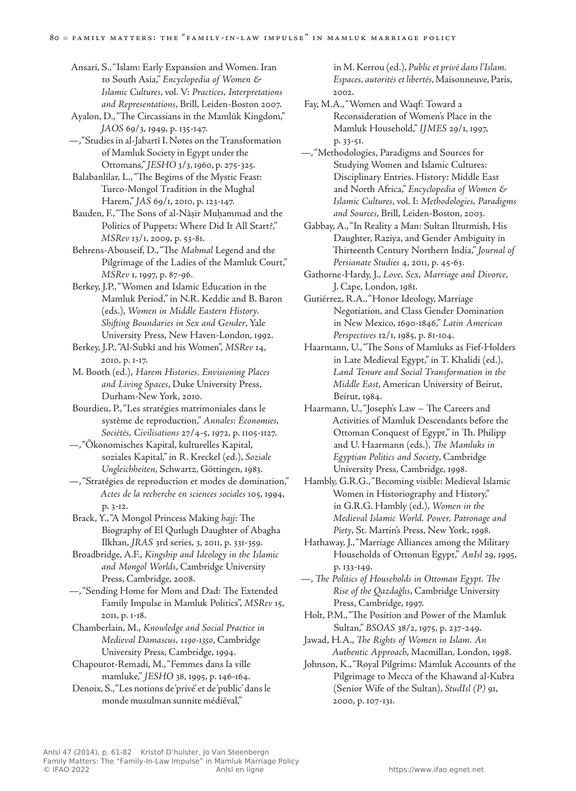Ansari, S., "Islam: Early Expansion and Women. Iran to South Asia," *Encyclopedia of Women & Islamic Cultures*, vol. V: *Practices, Interpretations and Representations*, Brill, Leiden-Boston 2007.

Ayalon, D., "The Circassians in the Mamlūk Kingdom," *JAOS* 69/3, 1949, p. 135-147.

—, "Studies in al-Jabartī I. Notes on the Transformation of Mamluk Society in Egypt under the Ottomans," *JESHO* 3/3, 1960, p. 275-325.

Balabanlilar, L., "The Begims of the Mystic Feast: Turco-Mongol Tradition in the Mughal Harem," *JAS* 69/1, 2010, p. 123-147.

Bauden, F., "The Sons of al-Nāṣir Muḥammad and the Politics of Puppets: Where Did It All Start?," *MSRev* 13/1, 2009, p. 53-81.

Behrens-Abouseif, D., "The *Mahmal* Legend and the Pilgrimage of the Ladies of the Mamluk Court," *MSRev* 1, 1997, p. 87-96.

Berkey, J.P., "Women and Islamic Education in the Mamluk Period," in N.R. Keddie and B. Baron (eds.), *Women in Middle Eastern History. Shifting Boundaries in Sex and Gender*, Yale University Press, New Haven-London, 1992.

Berkey, J.P., "Al-Subkī and his Women", *MSRev* 14, 2010, p. 1-17.

M. Booth (ed.), *Harem Histories. Envisioning Places and Living Spaces*, Duke University Press, Durham-New York, 2010.

Bourdieu, P., "Les stratégies matrimoniales dans le système de reproduction," *Annales: Économies, Sociétés, Civilisations* 27/4-5, 1972, p. 1105-1127.

—, "Ökonomisches Kapital, kulturelles Kapital, soziales Kapital," in R. Kreckel (ed.), *Soziale Ungleichheiten*, Schwartz, Göttingen, 1983.

—, "Stratégies de reproduction et modes de domination," *Actes de la recherche en sciences sociales* 105, 1994, p. 3-12.

Brack, Y., "A Mongol Princess Making *hajj*: The Biography of El Qutlugh Daughter of Abagha Ilkhan, *JRAS* 3rd series, 3, 2011, p. 331-359.

Broadbridge, A.F., *Kingship and Ideology in the Islamic and Mongol Worlds*, Cambridge University Press, Cambridge, 2008.

—, "Sending Home for Mom and Dad: The Extended Family Impulse in Mamluk Politics", *MSRev* 15, 2011, p. 1-18.

Chamberlain, M., *Knowledge and Social Practice in Medieval Damascus, 1190-1350*, Cambridge University Press, Cambridge, 1994.

Chapoutot-Remadi, M., "Femmes dans la ville mamluke," *JESHO* 38, 1995, p. 146-164.

Denoix, S., "Les notions de 'privé' et de 'public' dans le monde musulman sunnite médiéval,"

in M. Kerrou (ed.), *Public et privé dans l'Islam. Espaces, autorités et libertés*, Maisonneuve, Paris, 2002.

Fay, M.A., "Women and Waqf: Toward a Reconsideration of Women's Place in the Mamluk Household," *IJMES* 29/1, 1997, p.33-51.

—, "Methodologies, Paradigms and Sources for Studying Women and Islamic Cultures: Disciplinary Entries. History: Middle East and North Africa," *Encyclopedia of Women & Islamic Cultures*, vol. I: *Methodologies, Paradigms and Sources*, Brill, Leiden-Boston, 2003.

Gabbay, A., "In Reality a Man: Sultan Iltutmish, His Daughter, Raziya, and Gender Ambiguity in Thirteenth Century Northern India," *Journal of Persianate Studies* 4, 2011, p. 45-63.

Gathorne-Hardy, J., *Love, Sex, Marriage and Divorce*, J. Cape, London, 1981.

Gutiérrez, R.A., "Honor Ideology, Marriage Negotiation, and Class Gender Domination in New Mexico, 1690-1846," *Latin American Perspectives* 12/1, 1985, p. 81-104.

Haarmann, U., "The Sons of Mamluks as Fief-Holders in Late Medieval Egypt," in T. Khalidi (ed.), *Land Tenure and Social Transformation in the Middle East*, American University of Beirut, Beirut, 1984.

Haarmann, U., "Joseph's Law – The Careers and Activities of Mamluk Descendants before the Ottoman Conquest of Egypt," in Th. Philipp and U. Haarmann (eds.), *The Mamluks in Egyptian Politics and Society*, Cambridge University Press, Cambridge, 1998.

Hambly, G.R.G., "Becoming visible: Medieval Islamic Women in Historiography and History," in G.R.G. Hambly (ed.), *Women in the Medieval Islamic World. Power, Patronage and Piety*, St. Martin's Press, New York, 1998.

Hathaway, J., "Marriage Alliances among the Military Households of Ottoman Egypt," *AnIsl* 29, 1995, p. 133-149.

—, *The Politics of Households in Ottoman Egypt. The Rise of the Qazdaǧlıs*, Cambridge University Press, Cambridge, 1997.

Holt, P.M., "The Position and Power of the Mamluk Sultan," *BSOAS* 38/2, 1975, p. 237-249.

Jawad, H.A., *The Rights of Women in Islam. An Authentic Approach*, Macmillan, London, 1998.

Johnson, K., "Royal Pilgrims: Mamluk Accounts of the Pilgrimage to Mecca of the Khawand al-Kubra (Senior Wife of the Sultan), *StudIsl (P)* 91, 2000, p. 107-131.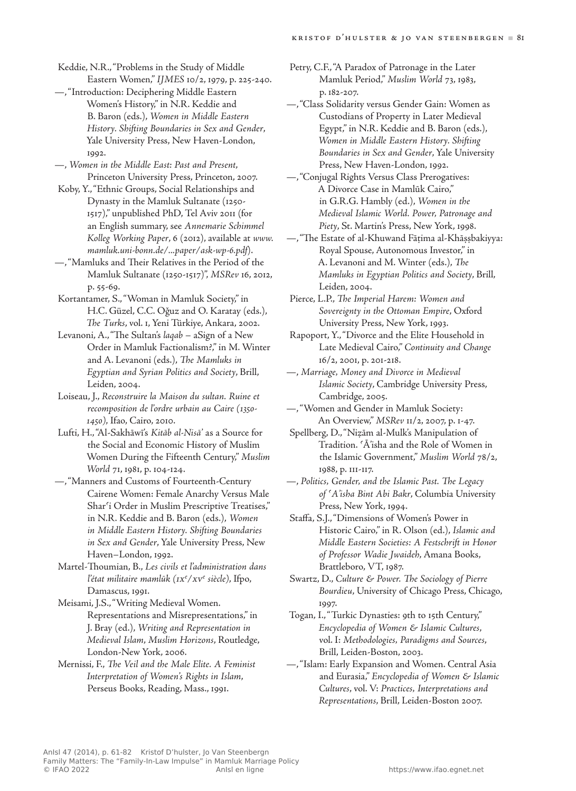Keddie, N.R., "Problems in the Study of Middle Eastern Women," *IJMES* 10/2, 1979, p. 225-240.

- —, "Introduction: Deciphering Middle Eastern Women's History," in N.R. Keddie and B. Baron (eds.), *Women in Middle Eastern History. Shifting Boundaries in Sex and Gender*, Yale University Press, New Haven-London, 1992.
- —, *Women in the Middle East: Past and Present*, Princeton University Press, Princeton, 2007.
- Koby, Y., "Ethnic Groups, Social Relationships and Dynasty in the Mamluk Sultanate (1250- 1517)," unpublished PhD, Tel Aviv 2011 (for an English summary, see *Annemarie Schimmel Kolleg Working Paper*, 6 (2012), available at *www. mamluk.uni-bonn.de/...paper/ask-wp-6.pdf*).
- —, "Mamluks and Their Relatives in the Period of the Mamluk Sultanate (1250-1517)", *MSRev* 16, 2012, p. 55-69.
- Kortantamer, S., "Woman in Mamluk Society," in H.C. Güzel, C.C. Oǧuz and O. Karatay (eds.), *The Turks*, vol. 1, Yeni Türkiye, Ankara, 2002.
- Levanoni, A., "The Sultan's *laqab* aSign of a New Order in Mamluk Factionalism?," in M. Winter and A. Levanoni (eds.), *The Mamluks in Egyptian and Syrian Politics and Society*, Brill, Leiden, 2004.
- Loiseau, J., *Reconstruire la Maison du sultan. Ruine et recomposition de l'ordre urbain au Caire (1350- 1450)*, Ifao, Cairo, 2010.
- Lufti, H., "Al-Sakhāwī's *Kitāb al-Nisā'* as a Source for the Social and Economic History of Muslim Women During the Fifteenth Century," *Muslim World* 71, 1981, p. 104-124.
- —, "Manners and Customs of Fourteenth-Century Cairene Women: Female Anarchy Versus Male Sharʿi Order in Muslim Prescriptive Treatises," in N.R. Keddie and B. Baron (eds.), *Women in Middle Eastern History. Shifting Boundaries in Sex and Gender*, Yale University Press, New Haven–London, 1992.
- Martel-Thoumian, B., *Les civils et l'administration dans l'état militaire mamlūk (ix<sup>e</sup> /xve siècle)*, Ifpo, Damascus, 1991.
- Meisami, J.S., "Writing Medieval Women. Representations and Misrepresentations," in J. Bray (ed.), *Writing and Representation in Medieval Islam*, *Muslim Horizons*, Routledge, London-New York, 2006.
- Mernissi, F., *The Veil and the Male Elite. A Feminist Interpretation of Women's Rights in Islam*, Perseus Books, Reading, Mass., 1991.
- Petry, C.F., "A Paradox of Patronage in the Later Mamluk Period," *Muslim World* 73, 1983, p. 182-207.
- —, "Class Solidarity versus Gender Gain: Women as Custodians of Property in Later Medieval Egypt," in N.R. Keddie and B. Baron (eds.), *Women in Middle Eastern History. Shifting Boundaries in Sex and Gender*, Yale University Press, New Haven-London, 1992.
- —, "Conjugal Rights Versus Class Prerogatives: A Divorce Case in Mamlūk Cairo," in G.R.G. Hambly (ed.), *Women in the Medieval Islamic World. Power, Patronage and Piety*, St. Martin's Press, New York, 1998.
- —, "The Estate of al-Khuwand Fāṭima al-Khāṣṣbakiyya: Royal Spouse, Autonomous Investor," in A. Levanoni and M. Winter (eds.), *The Mamluks in Egyptian Politics and Society*, Brill, Leiden, 2004.
- Pierce, L.P., *The Imperial Harem: Women and Sovereignty in the Ottoman Empire*, Oxford University Press, New York, 1993.
- Rapoport, Y., "Divorce and the Elite Household in Late Medieval Cairo," *Continuity and Change* 16/2, 2001, p. 201-218.
- —, *Marriage, Money and Divorce in Medieval Islamic Society*, Cambridge University Press, Cambridge, 2005.
- —, "Women and Gender in Mamluk Society: An Overview," *MSRev* 11/2, 2007, p. 1-47.
- Spellberg, D., "Niẓām al-Mulk's Manipulation of Tradition. ʿĀ'isha and the Role of Women in the Islamic Government," *Muslim World* 78/2, 1988, p. 111-117.
- —, *Politics, Gender, and the Islamic Past. The Legacy of ʿA'isha Bint Abi Bakr*, Columbia University Press, New York, 1994.
- Staffa, S.J., "Dimensions of Women's Power in Historic Cairo," in R. Olson (ed.), *Islamic and Middle Eastern Societies: A Festschrift in Honor of Professor Wadie Jwaideh*, Amana Books, Brattleboro, VT, 1987.
- Swartz, D., *Culture & Power. The Sociology of Pierre Bourdieu*, University of Chicago Press, Chicago, 1997.
- Togan, I., "Turkic Dynasties: 9th to 15th Century," *Encyclopedia of Women & Islamic Cultures*, vol. I: *Methodologies, Paradigms and Sources*, Brill, Leiden-Boston, 2003.
- —, "Islam: Early Expansion and Women. Central Asia and Eurasia," *Encyclopedia of Women & Islamic Cultures*, vol. V: *Practices, Interpretations and Representations*, Brill, Leiden-Boston 2007.